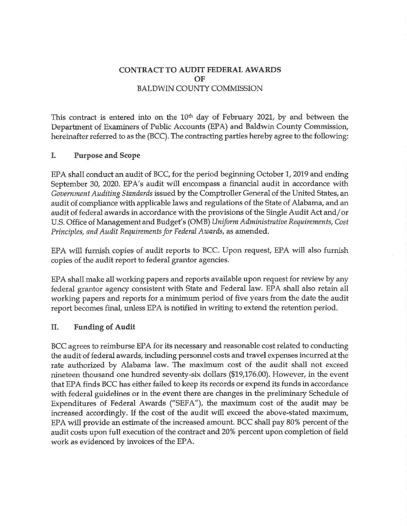# **CONTRACT TO AUDIT FEDERAL AWARDS OF**  BALDWIN COUNTY COMMISSION

This contract is entered into on the  $10<sup>th</sup>$  day of February 2021, by and between the Department of Examiners of Public Accounts (EPA) and Baldwin County Commission, hereinafter referred to as the (BCC). The contracting parties hereby agree to the following:

### **I. Purpose and Scope**

EPA shall conduct an audit of BCC, for the period beginning October 1, 2019 and ending September 30, 2020. EPA's audit will encompass a financial audit in accordance with *Government Auditing Standards* issued by the Comptroller General of the United States, an audit of compliance with applicable laws and regulations of the State of Alabama, and an audit of federal awards in accordance with the provisions of the Single Audit Act and/ or U.S. Office of Management and Budget's (OMB) *Uniform Administrative Requirements, Cost Principles, and Audit Requirements for Federal Awards,* as amended.

EPA will furnish copies of audit reports to BCC. Upon request, EPA will also furnish copies of the audit report to federal grantor agencies.

EPA shall make all working papers and reports available upon request for review by any federal grantor agency consistent with State and Federal law. EPA shall also retain all working papers and reports for a minimum period of five years from the date the audit report becomes final, unless EPA is notified in writing to extend the retention period.

### **II. Funding of Audit**

BCC agrees to reimburse EPA for its necessary and reasonable cost related to conducting the audit of federal awards, including personnel costs and travel expenses incurred at the rate authorized by Alabama law. The maximum cost of the audit shall not exceed nineteen thousand one hundred seventy-six dollars (\$19,176.00). However, in the event that EPA finds BCC has either failed to keep its records or expend its funds in accordance with federal guidelines or in the event there are changes in the preliminary Schedule of Expenditures of Federal Awards ("SEFA"), the maximum cost of the audit may be increased accordingly. If the cost of the audit will exceed the above-stated maximum, EPA will provide an estimate of the increased amount. BCC shall pay 80% percent of the audit costs upon full execution of the contract and 20% percent upon completion of field work as evidenced by invoices of the EPA.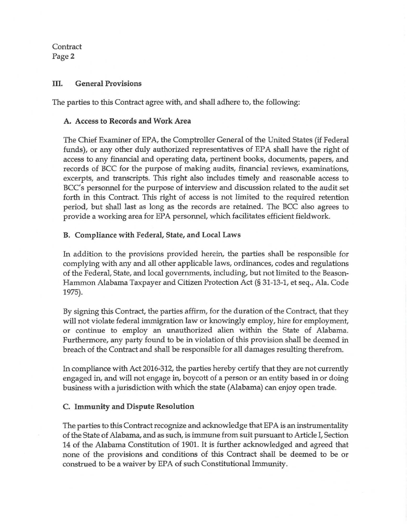**Contract** Page2

### III. General Provisions

The parties to this Contract agree with, and shall adhere to, the following:

## A. Access to Records and Work Area

The Chief Examiner of EPA, the Comptroller General of the United States (if Federal funds), or any other duly authorized representatives of EPA shall have the right of access to any financial and operating data, pertinent books, documents, papers, and records of BCC for the purpose of making audits, financial reviews, examinations, excerpts, and transcripts. This right also includes timely and reasonable access to BCC's personnel for the purpose of interview and discussion related to the audit set forth in this Contract. This right of access is not limited to the required retention period, but shall last as long as the records are retained. The BCC also agrees to provide a working area for EPA personnel, which facilitates efficient fieldwork.

## B. Compliance with Federal, State, and Local Laws

In addition to the provisions provided herein, the parties shall be responsible for complying with any and all other applicable laws, ordinances, codes and regulations of the Federal, State, and local governments, including, but not limited to the Beason-Hammon Alabama Taxpayer and Citizen Protection Act(§ 31-13-1, et seq., Ala. Code 1975).

By signing this Contract, the parties affirm, for the duration of the Contract, that they will not violate federal immigration law or knowingly employ, hire for employment, or continue to employ an unauthorized alien within the State of Alabama. Furthermore, any party found to be in violation of this provision shall be deemed in breach of the Contract and shall be responsible for all damages resulting therefrom.

In compliance with Act 2016-312, the parties hereby certify that they are not currently engaged in, and will not engage in, boycott of a person or an entity based in or doing business with a jurisdiction with which the state (Alabama) can enjoy open trade.

## C. Immunity and Dispute Resolution

The parties to this Contract recognize and acknowledge that EPA is an instrumentality of the State of Alabama, and as such, is immune from suit pursuant to Article I, Section 14 of the Alabama Constitution of 1901. It is further acknowledged and agreed that none of the provisions and conditions of this Contract shall be deemed to be or construed to be a waiver by EPA of such Constitutional Immunity.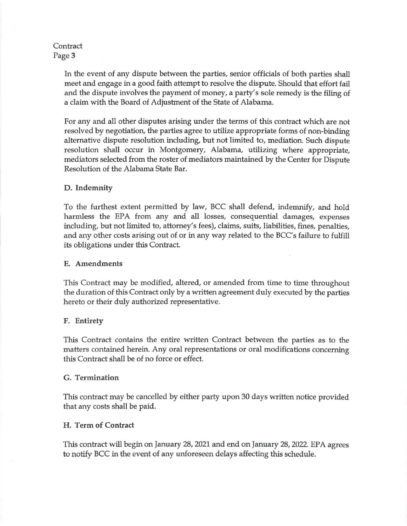## Contract Page 3

In the event of any dispute between the parties, senior officials of both parties shall meet and engage in a good faith attempt to resolve the dispute. Should that effort fail and the dispute involves the payment of money, a party's sole remedy is the filing of a claim with the Board of Adjustment of the State of Alabama.

For any and all other disputes arising under the terms of this contract which are not resolved by negotiation, the parties agree to utilize appropriate forms of non-binding alternative dispute resolution including, but not limited to, mediation. Such dispute resolution shall occur in Montgomery, Alabama, utilizing where appropriate, mediators selected from the roster of mediators maintained by the Center for Dispute Resolution of the Alabama State Bar.

# D. Indemnity

To the furthest extent permitted by law, BCC shall defend, indemnify, and hold harmless the EPA from any and all losses, consequential damages, expenses including, but not limited to, attorney's fees), claims, suits, liabilities, fines, penalties, and any other costs arising out of or in any way related to the BCC's failure to fulfill its obligations under this Contract.

## E. Amendments

This Contract may be modified, altered, or amended from time to time throughout the duration of this Contract only by a written agreement duly executed by the parties hereto or their duly authorized representative.

# F. Entirety

This Contract contains the entire written Contract between the parties as to the matters contained herein. Any oral representations or oral modifications concerning this Contract shall be of no force or effect.

# G. Termination

This contract may be cancelled by either party upon 30 days written notice provided that any costs shall be paid.

# H. Term of Contract

This contract will begin on January 28, 2021 and end on January 28, 2022. EPA agrees to notify BCC in the event of any unforeseen delays affecting this schedule.